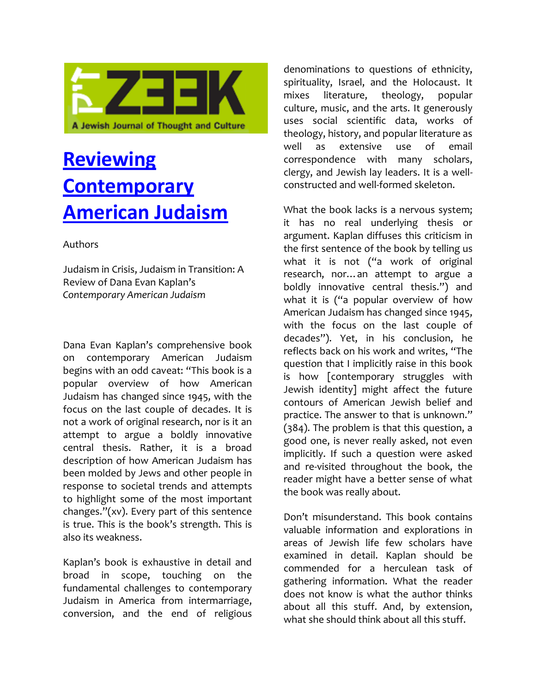

# **[Reviewing](http://zeek.forward.com/articles/116082/)  [Contemporary](http://zeek.forward.com/articles/116082/)  [American Judaism](http://zeek.forward.com/articles/116082/)**

#### Authors

Judaism in Crisis, Judaism in Transition: A Review of Dana Evan Kaplan's *Contemporary American Judaism*

Dana Evan Kaplan's comprehensive book on contemporary American Judaism begins with an odd caveat: "This book is a popular overview of how American Judaism has changed since 1945, with the focus on the last couple of decades. It is not a work of original research, nor is it an attempt to argue a boldly innovative central thesis. Rather, it is a broad description of how American Judaism has been molded by Jews and other people in response to societal trends and attempts to highlight some of the most important changes."(xv). Every part of this sentence is true. This is the book's strength. This is also its weakness.

Kaplan's book is exhaustive in detail and broad in scope, touching on the fundamental challenges to contemporary Judaism in America from intermarriage, conversion, and the end of religious

denominations to questions of ethnicity, spirituality, Israel, and the Holocaust. It mixes literature, theology, popular culture, music, and the arts. It generously uses social scientific data, works of theology, history, and popular literature as well as extensive use of email correspondence with many scholars, clergy, and Jewish lay leaders. It is a wellconstructed and well-formed skeleton.

What the book lacks is a nervous system; it has no real underlying thesis or argument. Kaplan diffuses this criticism in the first sentence of the book by telling us what it is not ("a work of original research, nor…an attempt to argue a boldly innovative central thesis.") and what it is ("a popular overview of how American Judaism has changed since 1945, with the focus on the last couple of decades"). Yet, in his conclusion, he reflects back on his work and writes, "The question that I implicitly raise in this book is how [contemporary struggles with Jewish identity] might affect the future contours of American Jewish belief and practice. The answer to that is unknown." (384). The problem is that this question, a good one, is never really asked, not even implicitly. If such a question were asked and re-visited throughout the book, the reader might have a better sense of what the book was really about.

Don't misunderstand. This book contains valuable information and explorations in areas of Jewish life few scholars have examined in detail. Kaplan should be commended for a herculean task of gathering information. What the reader does not know is what the author thinks about all this stuff. And, by extension, what she should think about all this stuff.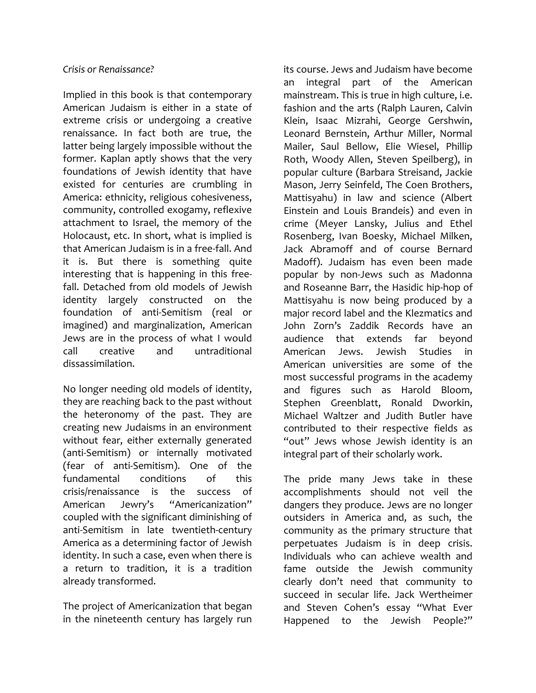#### *Crisis or Renaissance?*

Implied in this book is that contemporary American Judaism is either in a state of extreme crisis or undergoing a creative renaissance. In fact both are true, the latter being largely impossible without the former. Kaplan aptly shows that the very foundations of Jewish identity that have existed for centuries are crumbling in America: ethnicity, religious cohesiveness, community, controlled exogamy, reflexive attachment to Israel, the memory of the Holocaust, etc. In short, what is implied is that American Judaism is in a free-fall. And it is. But there is something quite interesting that is happening in this freefall. Detached from old models of Jewish identity largely constructed on the foundation of anti-Semitism (real or imagined) and marginalization, American Jews are in the process of what I would call creative and untraditional dissassimilation.

No longer needing old models of identity, they are reaching back to the past without the heteronomy of the past. They are creating new Judaisms in an environment without fear, either externally generated (anti-Semitism) or internally motivated (fear of anti-Semitism). One of the fundamental conditions of this crisis/renaissance is the success of American Jewry's "Americanization" coupled with the significant diminishing of anti-Semitism in late twentieth-century America as a determining factor of Jewish identity. In such a case, even when there is a return to tradition, it is a tradition already transformed.

The project of Americanization that began in the nineteenth century has largely run

its course. Jews and Judaism have become an integral part of the American mainstream. This is true in high culture, i.e. fashion and the arts (Ralph Lauren, Calvin Klein, Isaac Mizrahi, George Gershwin, Leonard Bernstein, Arthur Miller, Normal Mailer, Saul Bellow, Elie Wiesel, Phillip Roth, Woody Allen, Steven Speilberg), in popular culture (Barbara Streisand, Jackie Mason, Jerry Seinfeld, The Coen Brothers, Mattisyahu) in law and science (Albert Einstein and Louis Brandeis) and even in crime (Meyer Lansky, Julius and Ethel Rosenberg, Ivan Boesky, Michael Milken, Jack Abramoff and of course Bernard Madoff). Judaism has even been made popular by non-Jews such as Madonna and Roseanne Barr, the Hasidic hip-hop of Mattisyahu is now being produced by a major record label and the Klezmatics and John Zorn's Zaddik Records have an audience that extends far beyond American Jews. Jewish Studies in American universities are some of the most successful programs in the academy and figures such as Harold Bloom, Stephen Greenblatt, Ronald Dworkin, Michael Waltzer and Judith Butler have contributed to their respective fields as "out" Jews whose Jewish identity is an integral part of their scholarly work.

The pride many Jews take in these accomplishments should not veil the dangers they produce. Jews are no longer outsiders in America and, as such, the community as the primary structure that perpetuates Judaism is in deep crisis. Individuals who can achieve wealth and fame outside the Jewish community clearly don't need that community to succeed in secular life. Jack Wertheimer and Steven Cohen's essay "What Ever Happened to the Jewish People?"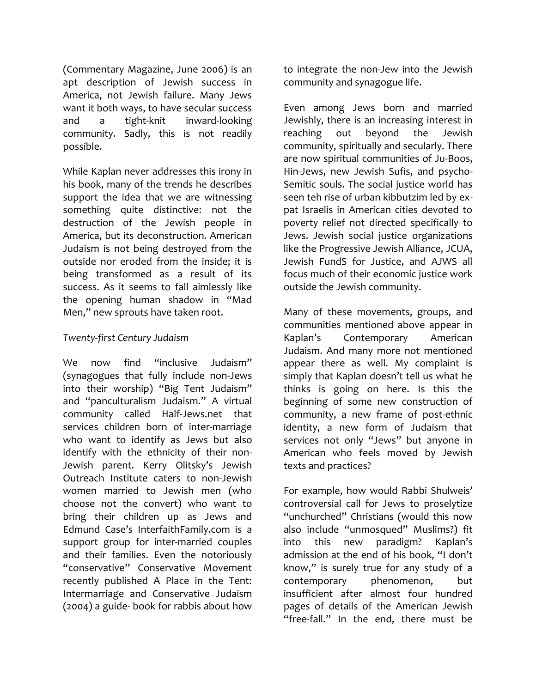(Commentary Magazine, June 2006) is an apt description of Jewish success in America, not Jewish failure. Many Jews want it both ways, to have secular success and a tight-knit inward-looking community. Sadly, this is not readily possible.

While Kaplan never addresses this irony in his book, many of the trends he describes support the idea that we are witnessing something quite distinctive: not the destruction of the Jewish people in America, but its deconstruction. American Judaism is not being destroyed from the outside nor eroded from the inside; it is being transformed as a result of its success. As it seems to fall aimlessly like the opening human shadow in "Mad Men," new sprouts have taken root.

### *Twenty-first Century Judaism*

We now find "inclusive Judaism" (synagogues that fully include non-Jews into their worship) "Big Tent Judaism" and "panculturalism Judaism." A virtual community called Half-Jews.net that services children born of inter-marriage who want to identify as Jews but also identify with the ethnicity of their non-Jewish parent. Kerry Olitsky's Jewish Outreach Institute caters to non-Jewish women married to Jewish men (who choose not the convert) who want to bring their children up as Jews and Edmund Case's InterfaithFamily.com is a support group for inter-married couples and their families. Even the notoriously "conservative" Conservative Movement recently published A Place in the Tent: Intermarriage and Conservative Judaism (2004) a guide- book for rabbis about how

to integrate the non-Jew into the Jewish community and synagogue life.

Even among Jews born and married Jewishly, there is an increasing interest in reaching out beyond the Jewish community, spiritually and secularly. There are now spiritual communities of Ju-Boos, Hin-Jews, new Jewish Sufis, and psycho-Semitic souls. The social justice world has seen teh rise of urban kibbutzim led by expat Israelis in American cities devoted to poverty relief not directed specifically to Jews. Jewish social justice organizations like the Progressive Jewish Alliance, JCUA, Jewish FundS for Justice, and AJWS all focus much of their economic justice work outside the Jewish community.

Many of these movements, groups, and communities mentioned above appear in Kaplan's Contemporary American Judaism. And many more not mentioned appear there as well. My complaint is simply that Kaplan doesn't tell us what he thinks is going on here. Is this the beginning of some new construction of community, a new frame of post-ethnic identity, a new form of Judaism that services not only "Jews" but anyone in American who feels moved by Jewish texts and practices?

For example, how would Rabbi Shulweis' controversial call for Jews to proselytize "unchurched" Christians (would this now also include "unmosqued" Muslims?) fit into this new paradigm? Kaplan's admission at the end of his book, "I don't know," is surely true for any study of a contemporary phenomenon, but insufficient after almost four hundred pages of details of the American Jewish "free-fall." In the end, there must be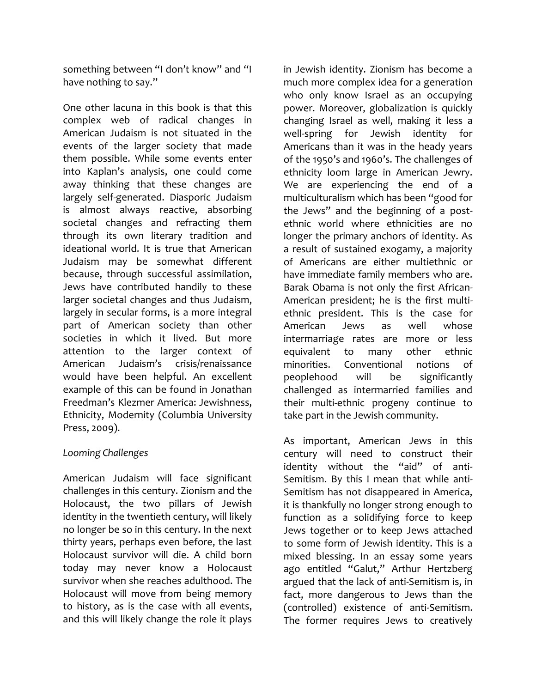something between "I don't know" and "I have nothing to say."

One other lacuna in this book is that this complex web of radical changes in American Judaism is not situated in the events of the larger society that made them possible. While some events enter into Kaplan's analysis, one could come away thinking that these changes are largely self-generated. Diasporic Judaism is almost always reactive, absorbing societal changes and refracting them through its own literary tradition and ideational world. It is true that American Judaism may be somewhat different because, through successful assimilation, Jews have contributed handily to these larger societal changes and thus Judaism, largely in secular forms, is a more integral part of American society than other societies in which it lived. But more attention to the larger context of American Judaism's crisis/renaissance would have been helpful. An excellent example of this can be found in Jonathan Freedman's Klezmer America: Jewishness, Ethnicity, Modernity (Columbia University Press, 2009).

## *Looming Challenges*

American Judaism will face significant challenges in this century. Zionism and the Holocaust, the two pillars of Jewish identity in the twentieth century, will likely no longer be so in this century. In the next thirty years, perhaps even before, the last Holocaust survivor will die. A child born today may never know a Holocaust survivor when she reaches adulthood. The Holocaust will move from being memory to history, as is the case with all events, and this will likely change the role it plays

in Jewish identity. Zionism has become a much more complex idea for a generation who only know Israel as an occupying power. Moreover, globalization is quickly changing Israel as well, making it less a well-spring for Jewish identity for Americans than it was in the heady years of the 1950's and 1960's. The challenges of ethnicity loom large in American Jewry. We are experiencing the end of a multiculturalism which has been "good for the Jews" and the beginning of a postethnic world where ethnicities are no longer the primary anchors of identity. As a result of sustained exogamy, a majority of Americans are either multiethnic or have immediate family members who are. Barak Obama is not only the first African-American president; he is the first multiethnic president. This is the case for American Jews as well whose intermarriage rates are more or less equivalent to many other ethnic minorities. Conventional notions of peoplehood will be significantly challenged as intermarried families and their multi-ethnic progeny continue to take part in the Jewish community.

As important, American Jews in this century will need to construct their identity without the "aid" of anti-Semitism. By this I mean that while anti-Semitism has not disappeared in America, it is thankfully no longer strong enough to function as a solidifying force to keep Jews together or to keep Jews attached to some form of Jewish identity. This is a mixed blessing. In an essay some years ago entitled "Galut," Arthur Hertzberg argued that the lack of anti-Semitism is, in fact, more dangerous to Jews than the (controlled) existence of anti-Semitism. The former requires Jews to creatively